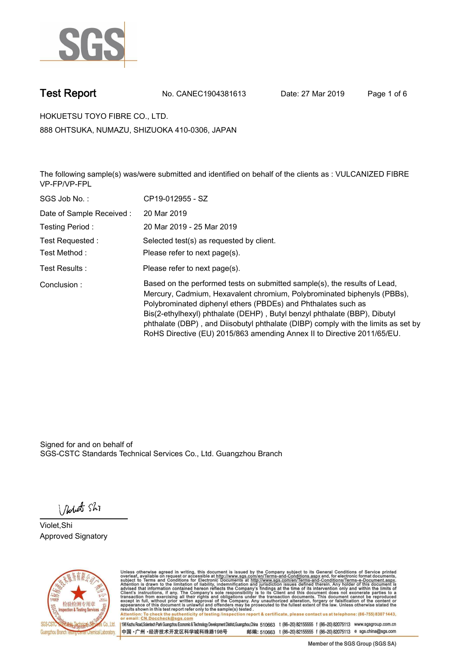

**Test Report. No. CANEC1904381613 Date: 27 Mar 2019. Page 1 of 6.**

**HOKUETSU TOYO FIBRE CO., LTD.. 888 OHTSUKA, NUMAZU, SHIZUOKA 410-0306, JAPAN**

**The following sample(s) was/were submitted and identified on behalf of the clients as : VULCANIZED FIBRE VP-FP/VP-FPL.**

| SGS Job No.:             | CP19-012955 - SZ                                                                                                                                                                                                                                                                                                                                                                                                                                                   |
|--------------------------|--------------------------------------------------------------------------------------------------------------------------------------------------------------------------------------------------------------------------------------------------------------------------------------------------------------------------------------------------------------------------------------------------------------------------------------------------------------------|
| Date of Sample Received: | 20 Mar 2019                                                                                                                                                                                                                                                                                                                                                                                                                                                        |
| Testing Period:          | 20 Mar 2019 - 25 Mar 2019                                                                                                                                                                                                                                                                                                                                                                                                                                          |
| Test Requested:          | Selected test(s) as requested by client.                                                                                                                                                                                                                                                                                                                                                                                                                           |
| Test Method:             | Please refer to next page(s).                                                                                                                                                                                                                                                                                                                                                                                                                                      |
| Test Results :           | Please refer to next page(s).                                                                                                                                                                                                                                                                                                                                                                                                                                      |
| Conclusion:              | Based on the performed tests on submitted sample(s), the results of Lead,<br>Mercury, Cadmium, Hexavalent chromium, Polybrominated biphenyls (PBBs),<br>Polybrominated diphenyl ethers (PBDEs) and Phthalates such as<br>Bis(2-ethylhexyl) phthalate (DEHP), Butyl benzyl phthalate (BBP), Dibutyl<br>phthalate (DBP), and Diisobutyl phthalate (DIBP) comply with the limits as set by<br>RoHS Directive (EU) 2015/863 amending Annex II to Directive 2011/65/EU. |

Signed for and on behalf of SGS-CSTC Standards Technical Services Co., Ltd. Guangzhou Branch.

Nobet Shi

**Violet,Shi. Approved Signatory.**



Unless otherwise agreed in writing, this document is issued by the Company subject to its General Conditions of Service printed<br>overleaf, available on request or accessible at http://www.sgs.com/en/Terms-and-Conditions.asp Attention: To check the authenticity of testing /inspection report & certificate, please contact us at telephone: (86-755) 8307 1443,<br>Attention: To check the authenticity of testing /inspection report & certificate, please

198 Kezhu Road,Scientech Park Guangzhou Economic & Technology Development District,Guangzhou,China 510663 t (86-20) 82155555 f (86-20) 82075113 www.sgsgroup.com.cn 邮编: 510663 t (86-20) 82155555 f (86-20) 82075113 e sgs.china@sgs.com 中国·广州·经济技术开发区科学城科珠路198号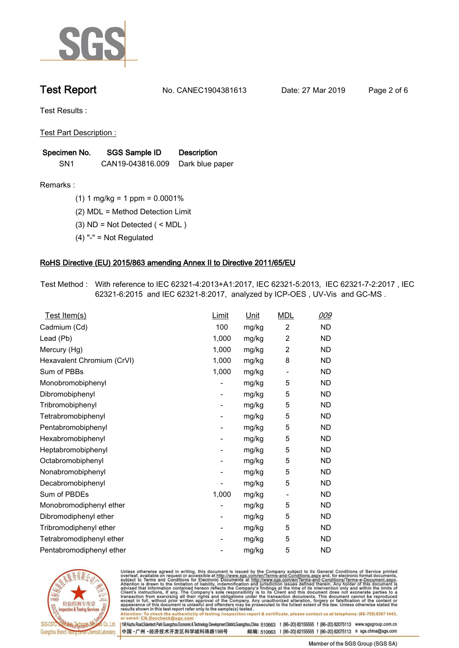

**Test Report. No. CANEC1904381613 Date: 27 Mar 2019. Page 2 of 6.**

**Test Results :.**

**Test Part Description :.**

| Specimen No.    | SGS Sample ID    | <b>Description</b> |  |
|-----------------|------------------|--------------------|--|
| SN <sub>1</sub> | CAN19-043816.009 | Dark blue paper    |  |

**Remarks :.(1) 1 mg/kg = 1 ppm = 0.0001%.**

**(2) MDL = Method Detection Limit.**

**(3) ND = Not Detected ( < MDL ).**

**(4) "-" = Not Regulated.**

### **RoHS Directive (EU) 2015/863 amending Annex II to Directive 2011/65/EU.**

**Test Method :. With reference to IEC 62321-4:2013+A1:2017, IEC 62321-5:2013, IEC 62321-7-2:2017 , IEC 62321-6:2015 and IEC 62321-8:2017, analyzed by ICP-OES , UV-Vis and GC-MS ..**

| <u>Test Item(s)</u>        | Limit | Unit  | <b>MDL</b>               | 009       |
|----------------------------|-------|-------|--------------------------|-----------|
| Cadmium (Cd)               | 100   | mg/kg | $\overline{2}$           | <b>ND</b> |
| Lead (Pb)                  | 1,000 | mg/kg | $\overline{c}$           | <b>ND</b> |
| Mercury (Hg)               | 1,000 | mg/kg | $\overline{c}$           | <b>ND</b> |
| Hexavalent Chromium (CrVI) | 1,000 | mg/kg | 8                        | <b>ND</b> |
| Sum of PBBs                | 1,000 | mg/kg | $\overline{\phantom{a}}$ | <b>ND</b> |
| Monobromobiphenyl          |       | mg/kg | 5                        | <b>ND</b> |
| Dibromobiphenyl            | -     | mg/kg | 5                        | ND        |
| Tribromobiphenyl           | -     | mg/kg | 5                        | <b>ND</b> |
| Tetrabromobiphenyl         |       | mg/kg | 5                        | <b>ND</b> |
| Pentabromobiphenyl         | -     | mg/kg | 5                        | <b>ND</b> |
| Hexabromobiphenyl          |       | mg/kg | 5                        | <b>ND</b> |
| Heptabromobiphenyl         | -     | mg/kg | 5                        | <b>ND</b> |
| Octabromobiphenyl          | -     | mg/kg | 5                        | <b>ND</b> |
| Nonabromobiphenyl          |       | mg/kg | 5                        | <b>ND</b> |
| Decabromobiphenyl          |       | mg/kg | 5                        | <b>ND</b> |
| Sum of PBDEs               | 1,000 | mg/kg | $\overline{\phantom{a}}$ | <b>ND</b> |
| Monobromodiphenyl ether    |       | mg/kg | 5                        | <b>ND</b> |
| Dibromodiphenyl ether      | -     | mg/kg | 5                        | <b>ND</b> |
| Tribromodiphenyl ether     | Ξ.    | mg/kg | 5                        | ND        |
| Tetrabromodiphenyl ether   |       | mg/kg | 5                        | <b>ND</b> |
| Pentabromodiphenyl ether   |       | mg/kg | 5                        | <b>ND</b> |
|                            |       |       |                          |           |



Unless otherwise agreed in writing, this document is issued by the Company subject to its General Conditions of Service printed<br>overleaf, available on request or accessible at http://www.sgs.com/en/Terms-and-Conditions.asp Attention: To check the authenticity of testing /inspection report & certificate, please contact us at telephone: (86-755) 8307 1443,<br>Attention: To check the authenticity of testing /inspection report & certificate, please

198 Kezhu Road,Scientech Park Guangzhou Economic & Technology Development District,Guangzhou,China 510663 t (86-20) 82155555 f (86-20) 82075113 www.sgsgroup.com.cn 邮编: 510663 t (86-20) 82155555 f (86-20) 82075113 e sgs.china@sgs.com 中国·广州·经济技术开发区科学城科珠路198号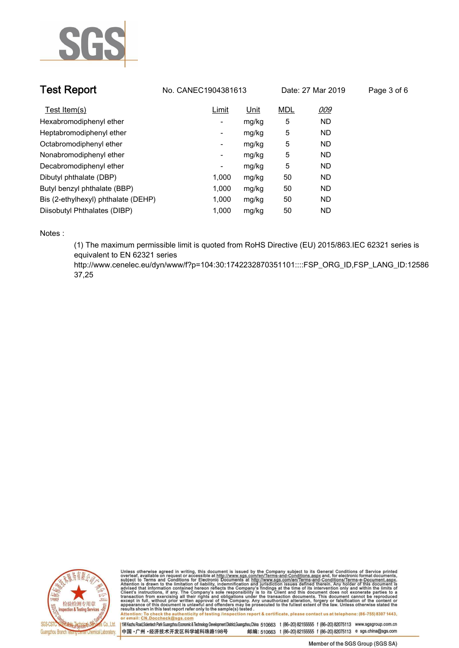

| <b>Test Report</b>                  | No. CANEC1904381613 |             | Date: 27 Mar 2019 |           | Page 3 of 6 |
|-------------------------------------|---------------------|-------------|-------------------|-----------|-------------|
| Test Item(s)                        | Limit               | <u>Unit</u> | <b>MDL</b>        | 009       |             |
| Hexabromodiphenyl ether             | ۰                   | mg/kg       | 5                 | <b>ND</b> |             |
| Heptabromodiphenyl ether            | ۰                   | mg/kg       | 5                 | <b>ND</b> |             |
| Octabromodiphenyl ether             | Ξ.                  | mg/kg       | 5                 | <b>ND</b> |             |
| Nonabromodiphenyl ether             | Ξ.                  | mg/kg       | 5                 | <b>ND</b> |             |
| Decabromodiphenyl ether             | -                   | mg/kg       | 5                 | <b>ND</b> |             |
| Dibutyl phthalate (DBP)             | 1.000               | mg/kg       | 50                | <b>ND</b> |             |
| Butyl benzyl phthalate (BBP)        | 1,000               | mg/kg       | 50                | <b>ND</b> |             |
| Bis (2-ethylhexyl) phthalate (DEHP) | 1,000               | mg/kg       | 50                | <b>ND</b> |             |
| Diisobutyl Phthalates (DIBP)        | 1.000               | mg/kg       | 50                | ND.       |             |

**Notes :.**

**(1) The maximum permissible limit is quoted from RoHS Directive (EU) 2015/863.IEC 62321 series is equivalent to EN 62321 series** 

**http://www.cenelec.eu/dyn/www/f?p=104:30:1742232870351101::::FSP\_ORG\_ID,FSP\_LANG\_ID:12586 37,25.**



Unless otherwise agreed in writing, this document is issued by the Company subject to its General Conditions of Service printed<br>overleaf, available on request or accessible at http://www.sgs.com/en/Terms-and-Conditions.asp Attention: To check the authenticity of testing /inspection report & certificate, please contact us at telephone: (86-755) 8307 1443,<br>Attention: To check the authenticity of testing /inspection report & certificate, please

198 Kezhu Road,Scientech Park Guangzhou Economic & Technology Development District,Guangzhou,China 510663 t (86-20) 82155555 f (86-20) 82075113 www.sgsgroup.com.cn 中国·广州·经济技术开发区科学城科珠路198号 邮编: 510663 t (86-20) 82155555 f (86-20) 82075113 e sgs.china@sgs.com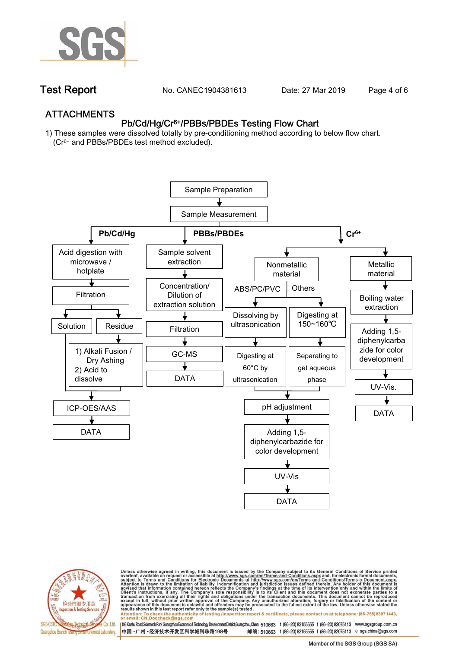

**Test Report. No. CANEC1904381613** Date: 27 Mar 2019 Page 4 of 6

## **ATTACHMENTS Pb/Cd/Hg/Cr6+/PBBs/PBDEs Testing Flow Chart**

**1) These samples were dissolved totally by pre-conditioning method according to below flow chart. (Cr6+ and PBBs/PBDEs test method excluded).**





Unless otherwise agreed in writing, this document is issued by the Company subject to its General Conditions of Service printed<br>overleaf, available on request or accessible at http://www.sgs.com/en/Terms-and-Conditions.asp résults shown in this test report refer only to the sample(s) tésted .<br>Attention: To check the authenticity of testing /inspection report & certificate, please contact us at telephone: (86-755) 8307 1443,<br>or email: <u>CN.Doc</u>

198 Kezhu Road,Scientech Park Guangzhou Economic & Technology Development District,Guangzhou,China 510663 t (86-20) 82155555 f (86-20) 82075113 www.sgsgroup.com.cn

邮编: 510663 t (86-20) 82155555 f (86-20) 82075113 e sgs.china@sgs.com 中国·广州·经济技术开发区科学城科珠路198号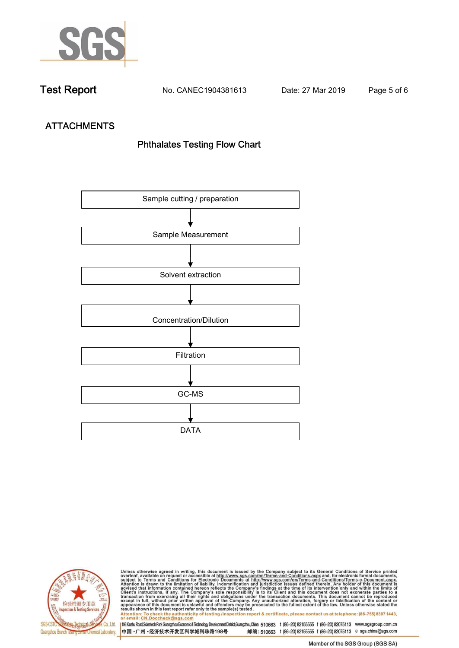

**Test Report. No. CANEC1904381613 Date: 27 Mar 2019. Page 5 of 6.**

# **ATTACHMENTS Phthalates Testing Flow Chart**





Unless otherwise agreed in writing, this document is issued by the Company subject to its General Conditions of Service printed<br>overleaf, available on request or accessible at http://www.sgs.com/en/Terms-and-Conditions.asp results shown in this test report refer only to the sample(s) tested .<br>Attention: To check the authenticity of testing /inspection report & certificate, please contact us at telephone: (86-755) 8307 1443,<br>or email: <u>CN.Doc</u>

198 Kezhu Road,Scientech Park Guangzhou Economic & Technology Development District,Guangzhou,China 510663 t (86-20) 82155555 f (86-20) 82075113 www.sgsgroup.com.cn 中国·广州·经济技术开发区科学城科珠路198号 邮编: 510663 t (86-20) 82155555 f (86-20) 82075113 e sgs.china@sgs.com